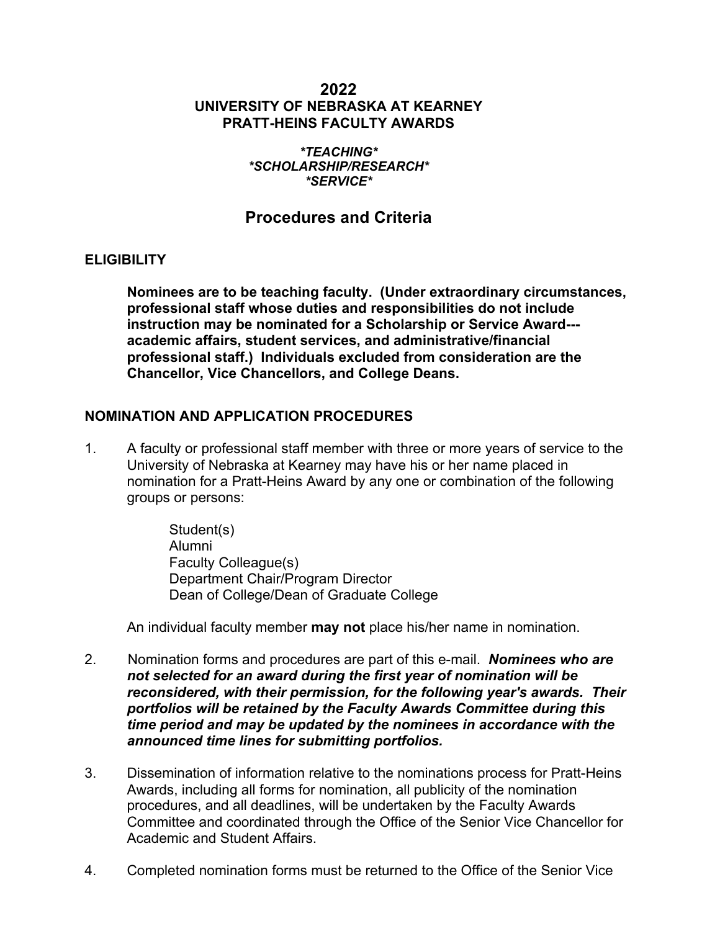# **2022 UNIVERSITY OF NEBRASKA AT KEARNEY PRATT-HEINS FACULTY AWARDS**

#### *\*TEACHING\* \*SCHOLARSHIP/RESEARCH\* \*SERVICE\**

# **Procedures and Criteria**

### **ELIGIBILITY**

**Nominees are to be teaching faculty. (Under extraordinary circumstances, professional staff whose duties and responsibilities do not include instruction may be nominated for a Scholarship or Service Award-- academic affairs, student services, and administrative/financial professional staff.) Individuals excluded from consideration are the Chancellor, Vice Chancellors, and College Deans.**

### **NOMINATION AND APPLICATION PROCEDURES**

1. A faculty or professional staff member with three or more years of service to the University of Nebraska at Kearney may have his or her name placed in nomination for a Pratt-Heins Award by any one or combination of the following groups or persons:

> Student(s) Alumni Faculty Colleague(s) Department Chair/Program Director Dean of College/Dean of Graduate College

An individual faculty member **may not** place his/her name in nomination.

- 2. Nomination forms and procedures are part of this e-mail. *Nominees who are not selected for an award during the first year of nomination will be reconsidered, with their permission, for the following year's awards. Their portfolios will be retained by the Faculty Awards Committee during this time period and may be updated by the nominees in accordance with the announced time lines for submitting portfolios.*
- 3. Dissemination of information relative to the nominations process for Pratt-Heins Awards, including all forms for nomination, all publicity of the nomination procedures, and all deadlines, will be undertaken by the Faculty Awards Committee and coordinated through the Office of the Senior Vice Chancellor for Academic and Student Affairs.
- 4. Completed nomination forms must be returned to the Office of the Senior Vice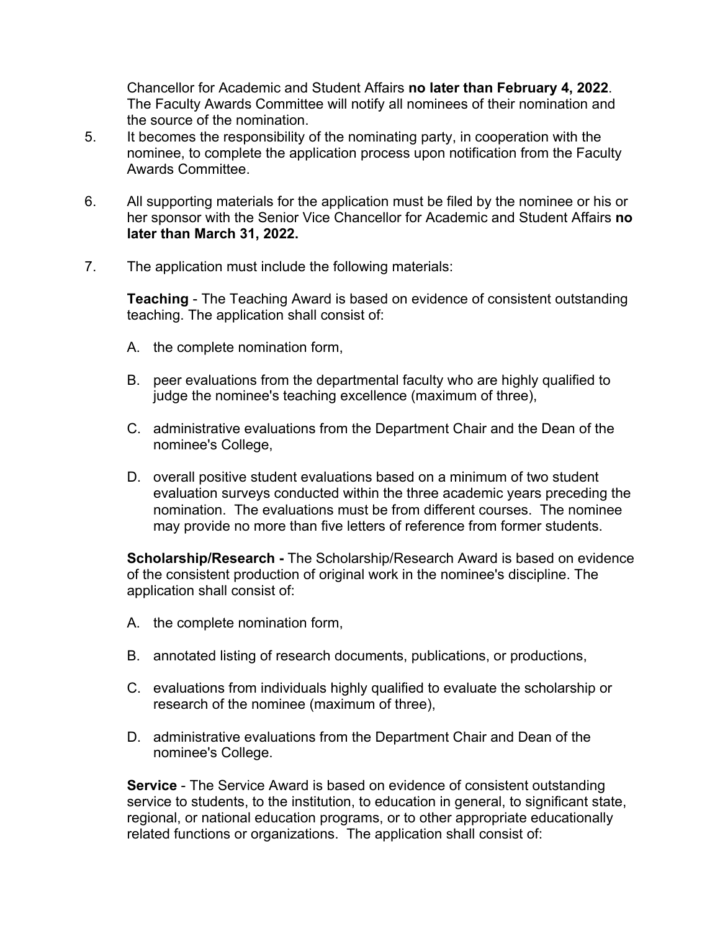Chancellor for Academic and Student Affairs **no later than February 4, 2022**. The Faculty Awards Committee will notify all nominees of their nomination and the source of the nomination.

- 5. It becomes the responsibility of the nominating party, in cooperation with the nominee, to complete the application process upon notification from the Faculty Awards Committee.
- 6. All supporting materials for the application must be filed by the nominee or his or her sponsor with the Senior Vice Chancellor for Academic and Student Affairs **no later than March 31, 2022.**
- 7. The application must include the following materials:

**Teaching** - The Teaching Award is based on evidence of consistent outstanding teaching. The application shall consist of:

- A. the complete nomination form,
- B. peer evaluations from the departmental faculty who are highly qualified to judge the nominee's teaching excellence (maximum of three),
- C. administrative evaluations from the Department Chair and the Dean of the nominee's College,
- D. overall positive student evaluations based on a minimum of two student evaluation surveys conducted within the three academic years preceding the nomination. The evaluations must be from different courses. The nominee may provide no more than five letters of reference from former students.

**Scholarship/Research -** The Scholarship/Research Award is based on evidence of the consistent production of original work in the nominee's discipline. The application shall consist of:

- A. the complete nomination form,
- B. annotated listing of research documents, publications, or productions,
- C. evaluations from individuals highly qualified to evaluate the scholarship or research of the nominee (maximum of three),
- D. administrative evaluations from the Department Chair and Dean of the nominee's College.

**Service** - The Service Award is based on evidence of consistent outstanding service to students, to the institution, to education in general, to significant state, regional, or national education programs, or to other appropriate educationally related functions or organizations. The application shall consist of: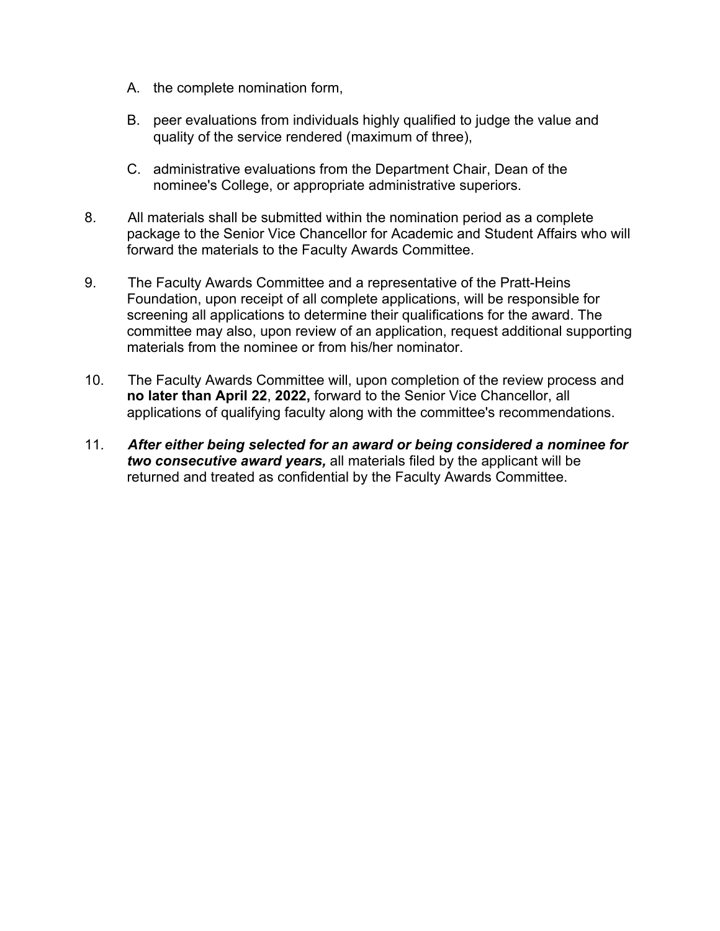- A. the complete nomination form,
- B. peer evaluations from individuals highly qualified to judge the value and quality of the service rendered (maximum of three),
- C. administrative evaluations from the Department Chair, Dean of the nominee's College, or appropriate administrative superiors.
- 8. All materials shall be submitted within the nomination period as a complete package to the Senior Vice Chancellor for Academic and Student Affairs who will forward the materials to the Faculty Awards Committee.
- 9. The Faculty Awards Committee and a representative of the Pratt-Heins Foundation, upon receipt of all complete applications, will be responsible for screening all applications to determine their qualifications for the award. The committee may also, upon review of an application, request additional supporting materials from the nominee or from his/her nominator.
- 10. The Faculty Awards Committee will, upon completion of the review process and **no later than April 22**, **2022,** forward to the Senior Vice Chancellor, all applications of qualifying faculty along with the committee's recommendations.
- 11. *After either being selected for an award or being considered a nominee for two consecutive award years,* all materials filed by the applicant will be returned and treated as confidential by the Faculty Awards Committee.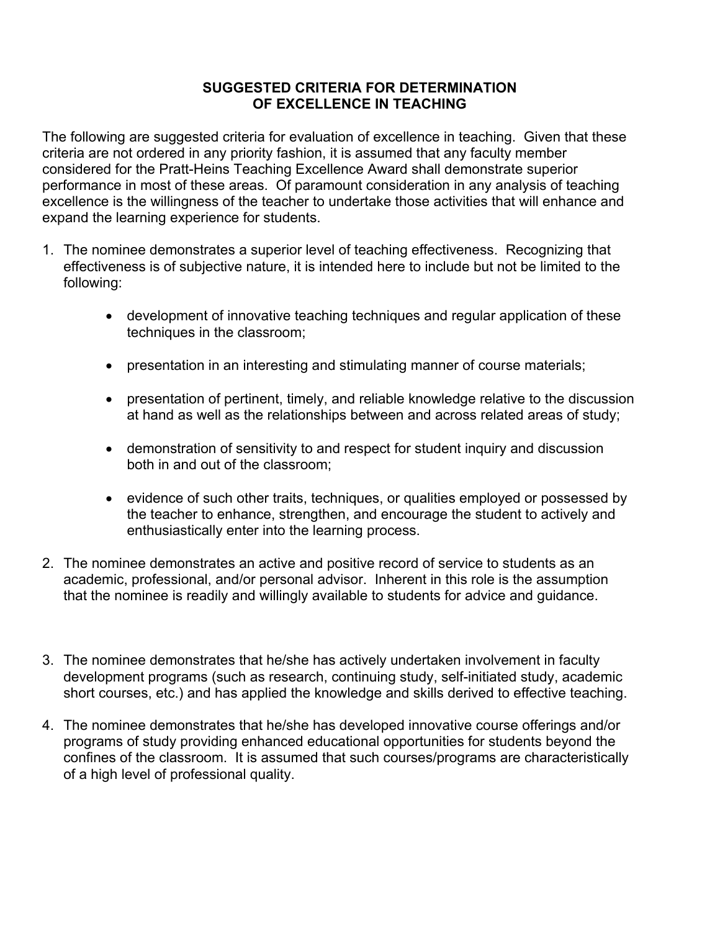# **SUGGESTED CRITERIA FOR DETERMINATION OF EXCELLENCE IN TEACHING**

The following are suggested criteria for evaluation of excellence in teaching. Given that these criteria are not ordered in any priority fashion, it is assumed that any faculty member considered for the Pratt-Heins Teaching Excellence Award shall demonstrate superior performance in most of these areas. Of paramount consideration in any analysis of teaching excellence is the willingness of the teacher to undertake those activities that will enhance and expand the learning experience for students.

- 1. The nominee demonstrates a superior level of teaching effectiveness. Recognizing that effectiveness is of subjective nature, it is intended here to include but not be limited to the following:
	- development of innovative teaching techniques and regular application of these techniques in the classroom;
	- presentation in an interesting and stimulating manner of course materials;
	- presentation of pertinent, timely, and reliable knowledge relative to the discussion at hand as well as the relationships between and across related areas of study;
	- demonstration of sensitivity to and respect for student inquiry and discussion both in and out of the classroom;
	- evidence of such other traits, techniques, or qualities employed or possessed by the teacher to enhance, strengthen, and encourage the student to actively and enthusiastically enter into the learning process.
- 2. The nominee demonstrates an active and positive record of service to students as an academic, professional, and/or personal advisor. Inherent in this role is the assumption that the nominee is readily and willingly available to students for advice and guidance.
- 3. The nominee demonstrates that he/she has actively undertaken involvement in faculty development programs (such as research, continuing study, self-initiated study, academic short courses, etc.) and has applied the knowledge and skills derived to effective teaching.
- 4. The nominee demonstrates that he/she has developed innovative course offerings and/or programs of study providing enhanced educational opportunities for students beyond the confines of the classroom. It is assumed that such courses/programs are characteristically of a high level of professional quality.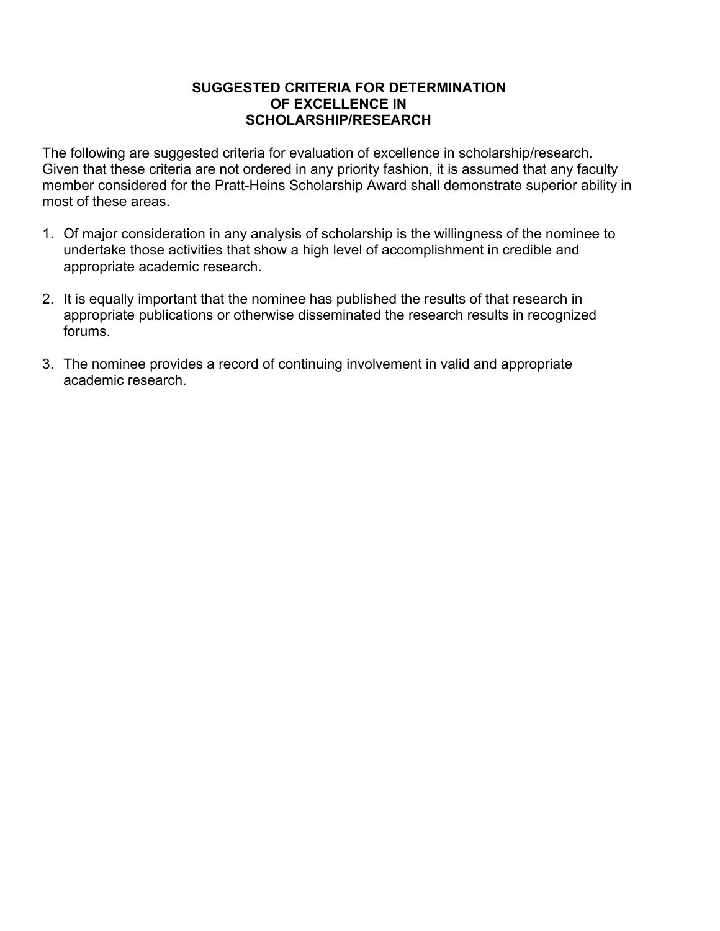### **SUGGESTED CRITERIA FOR DETERMINATION OF EXCELLENCE IN SCHOLARSHIP/RESEARCH**

The following are suggested criteria for evaluation of excellence in scholarship/research. Given that these criteria are not ordered in any priority fashion, it is assumed that any faculty member considered for the Pratt-Heins Scholarship Award shall demonstrate superior ability in most of these areas.

- 1. Of major consideration in any analysis of scholarship is the willingness of the nominee to undertake those activities that show a high level of accomplishment in credible and appropriate academic research.
- 2. It is equally important that the nominee has published the results of that research in appropriate publications or otherwise disseminated the research results in recognized forums.
- 3. The nominee provides a record of continuing involvement in valid and appropriate academic research.